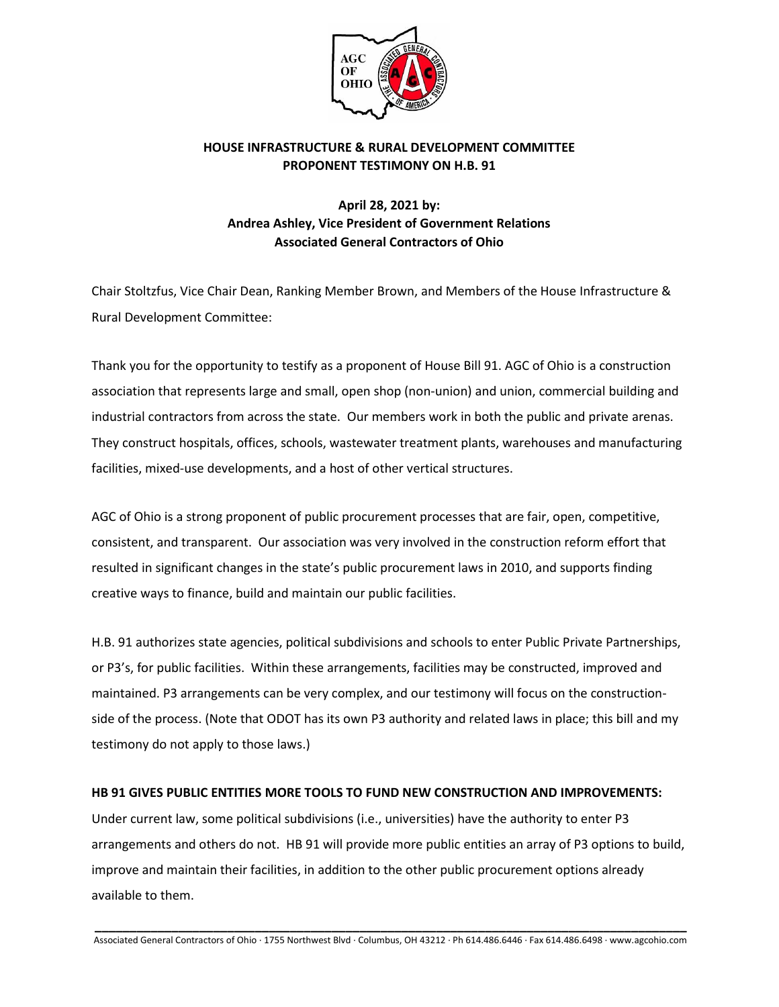

## **HOUSE INFRASTRUCTURE & RURAL DEVELOPMENT COMMITTEE PROPONENT TESTIMONY ON H.B. 91**

## **April 28, 2021 by: Andrea Ashley, Vice President of Government Relations Associated General Contractors of Ohio**

Chair Stoltzfus, Vice Chair Dean, Ranking Member Brown, and Members of the House Infrastructure & Rural Development Committee:

Thank you for the opportunity to testify as a proponent of House Bill 91. AGC of Ohio is a construction association that represents large and small, open shop (non-union) and union, commercial building and industrial contractors from across the state. Our members work in both the public and private arenas. They construct hospitals, offices, schools, wastewater treatment plants, warehouses and manufacturing facilities, mixed-use developments, and a host of other vertical structures.

AGC of Ohio is a strong proponent of public procurement processes that are fair, open, competitive, consistent, and transparent. Our association was very involved in the construction reform effort that resulted in significant changes in the state's public procurement laws in 2010, and supports finding creative ways to finance, build and maintain our public facilities.

H.B. 91 authorizes state agencies, political subdivisions and schools to enter Public Private Partnerships, or P3's, for public facilities. Within these arrangements, facilities may be constructed, improved and maintained. P3 arrangements can be very complex, and our testimony will focus on the constructionside of the process. (Note that ODOT has its own P3 authority and related laws in place; this bill and my testimony do not apply to those laws.)

## **HB 91 GIVES PUBLIC ENTITIES MORE TOOLS TO FUND NEW CONSTRUCTION AND IMPROVEMENTS:**

Under current law, some political subdivisions (i.e., universities) have the authority to enter P3 arrangements and others do not. HB 91 will provide more public entities an array of P3 options to build, improve and maintain their facilities, in addition to the other public procurement options already available to them.

**\_\_\_\_\_\_\_\_\_\_\_\_\_\_\_\_\_\_\_\_\_\_\_\_\_\_\_\_\_\_\_\_\_\_\_\_\_\_\_\_\_\_\_\_\_\_\_\_\_\_\_\_\_\_\_\_\_\_\_\_\_\_\_\_\_\_\_\_\_\_\_\_\_\_\_\_\_\_\_\_\_\_\_\_\_** Associated General Contractors of Ohio · 1755 Northwest Blvd · Columbus, OH 43212 · Ph 614.486.6446 · Fax 614.486.6498 · www.agcohio.com